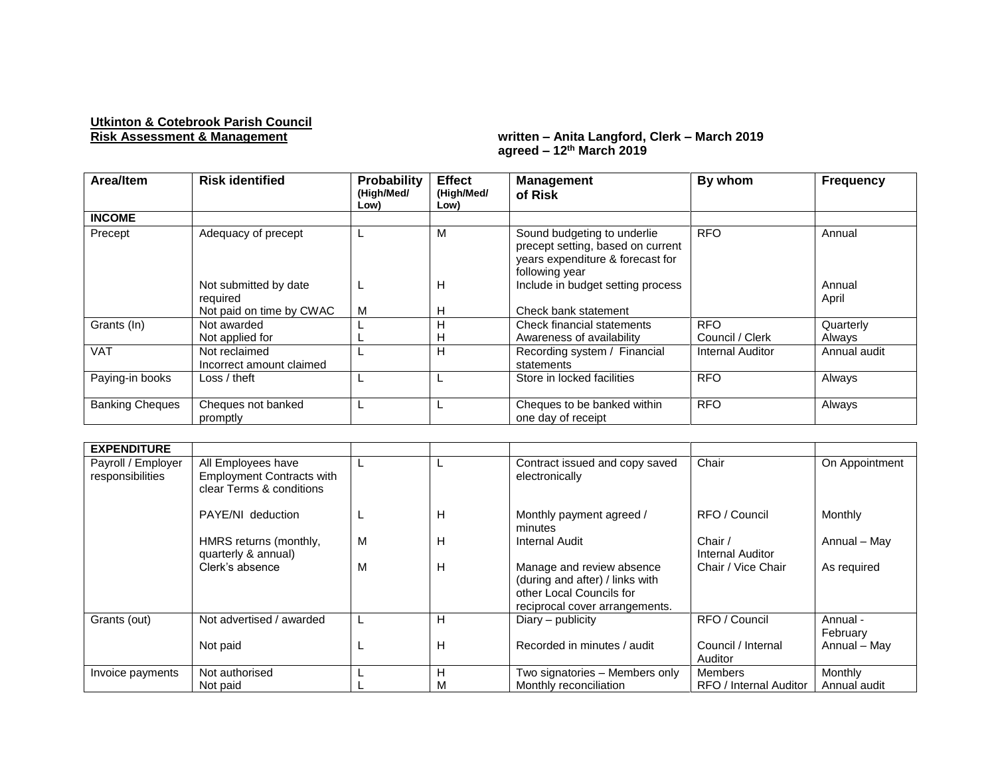## **Utkinton & Cotebrook Parish Council**

## **Risk Assessment & Management written – Anita Langford, Clerk – March 2019 agreed – 12th March 2019**

| Area/Item              | <b>Risk identified</b>                       | Probability<br>(High/Med/<br>Low) | <b>Effect</b><br>(High/Med/<br>Low) | <b>Management</b><br>of Risk                                                                                                                                | By whom                 | <b>Frequency</b> |
|------------------------|----------------------------------------------|-----------------------------------|-------------------------------------|-------------------------------------------------------------------------------------------------------------------------------------------------------------|-------------------------|------------------|
| <b>INCOME</b>          |                                              |                                   |                                     |                                                                                                                                                             |                         |                  |
| Precept                | Adequacy of precept<br>Not submitted by date | <b>L</b>                          | М<br>н                              | Sound budgeting to underlie<br>precept setting, based on current<br>years expenditure & forecast for<br>following year<br>Include in budget setting process | <b>RFO</b>              | Annual<br>Annual |
|                        | reauired                                     |                                   |                                     |                                                                                                                                                             |                         | April            |
|                        | Not paid on time by CWAC                     | M                                 | н                                   | Check bank statement                                                                                                                                        |                         |                  |
| Grants (In)            | Not awarded                                  |                                   | н                                   | Check financial statements                                                                                                                                  | <b>RFO</b>              | Quarterly        |
|                        | Not applied for                              |                                   | н                                   | Awareness of availability                                                                                                                                   | Council / Clerk         | Always           |
| <b>VAT</b>             | Not reclaimed<br>Incorrect amount claimed    |                                   | н                                   | Recording system / Financial<br>statements                                                                                                                  | <b>Internal Auditor</b> | Annual audit     |
| Paying-in books        | Loss / theft                                 |                                   |                                     | Store in locked facilities                                                                                                                                  | <b>RFO</b>              | Always           |
| <b>Banking Cheques</b> | Cheques not banked<br>promptly               |                                   |                                     | Cheques to be banked within<br>one day of receipt                                                                                                           | <b>RFO</b>              | Always           |

| <b>EXPENDITURE</b>                     |                                                                                    |   |   |                                                                                                                            |                               |                      |
|----------------------------------------|------------------------------------------------------------------------------------|---|---|----------------------------------------------------------------------------------------------------------------------------|-------------------------------|----------------------|
| Payroll / Employer<br>responsibilities | All Employees have<br><b>Employment Contracts with</b><br>clear Terms & conditions |   |   | Contract issued and copy saved<br>electronically                                                                           | Chair                         | On Appointment       |
|                                        | PAYE/NI deduction                                                                  |   | н | Monthly payment agreed /<br>minutes                                                                                        | RFO / Council                 | Monthly              |
|                                        | HMRS returns (monthly,<br>quarterly & annual)                                      | M | н | Internal Audit                                                                                                             | Chair /<br>Internal Auditor   | Annual - May         |
|                                        | Clerk's absence                                                                    | м | н | Manage and review absence<br>(during and after) / links with<br>other Local Councils for<br>reciprocal cover arrangements. | Chair / Vice Chair            | As required          |
| Grants (out)                           | Not advertised / awarded                                                           |   | н | Diary – publicity                                                                                                          | RFO / Council                 | Annual -<br>February |
|                                        | Not paid                                                                           |   | н | Recorded in minutes / audit                                                                                                | Council / Internal<br>Auditor | Annual - May         |
| Invoice payments                       | Not authorised                                                                     |   | н | Two signatories - Members only                                                                                             | Members                       | <b>Monthly</b>       |
|                                        | Not paid                                                                           |   | М | Monthly reconciliation                                                                                                     | RFO / Internal Auditor        | Annual audit         |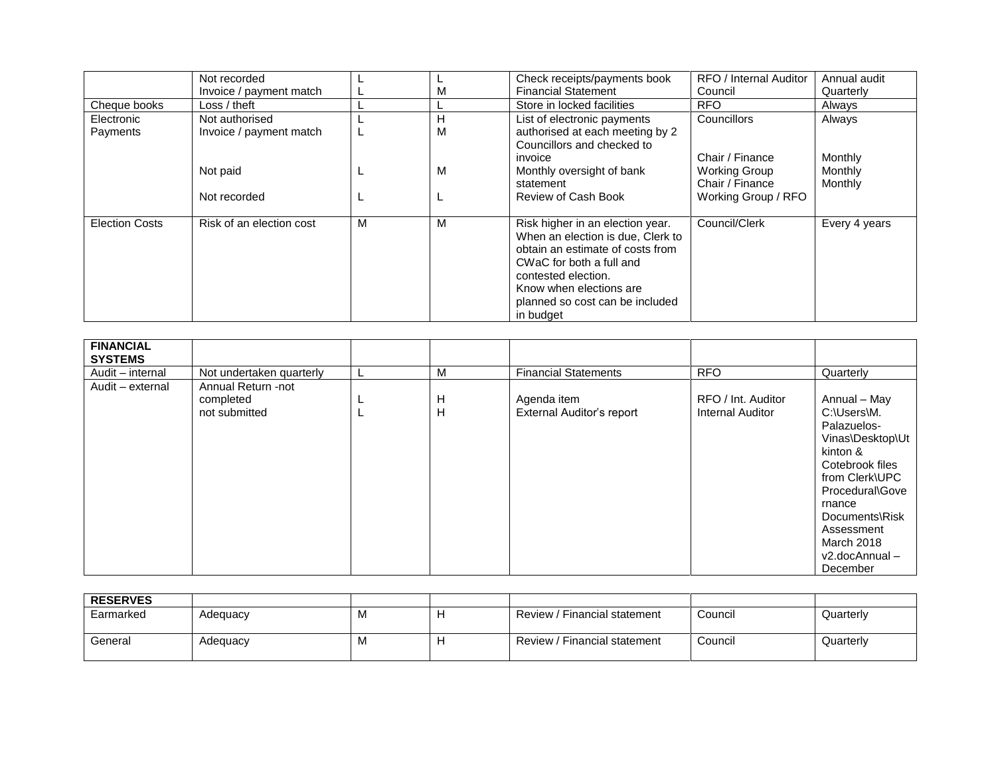|                        | Not recorded                              |   |        | Check receipts/payments book                                                                                                                                                                                                            | RFO / Internal Auditor                  | Annual audit       |
|------------------------|-------------------------------------------|---|--------|-----------------------------------------------------------------------------------------------------------------------------------------------------------------------------------------------------------------------------------------|-----------------------------------------|--------------------|
|                        | Invoice / payment match                   |   | М      | <b>Financial Statement</b>                                                                                                                                                                                                              | Council                                 | Quarterly          |
| Cheque books           | Loss / theft                              |   |        | Store in locked facilities                                                                                                                                                                                                              | <b>RFO</b>                              | Always             |
| Electronic<br>Payments | Not authorised<br>Invoice / payment match |   | Н<br>M | List of electronic payments<br>authorised at each meeting by 2<br>Councillors and checked to<br>invoice                                                                                                                                 | Councillors<br>Chair / Finance          | Always<br>Monthly  |
|                        | Not paid                                  |   | м      | Monthly oversight of bank<br>statement                                                                                                                                                                                                  | <b>Working Group</b><br>Chair / Finance | Monthly<br>Monthly |
|                        | Not recorded                              |   |        | Review of Cash Book                                                                                                                                                                                                                     | Working Group / RFO                     |                    |
| <b>Election Costs</b>  | Risk of an election cost                  | м | M      | Risk higher in an election year.<br>When an election is due, Clerk to<br>obtain an estimate of costs from<br>CWaC for both a full and<br>contested election.<br>Know when elections are<br>planned so cost can be included<br>in budget | Council/Clerk                           | Every 4 years      |

| <b>FINANCIAL</b><br><b>SYSTEMS</b> |                          |   |                                  |                    |                  |
|------------------------------------|--------------------------|---|----------------------------------|--------------------|------------------|
| Audit - internal                   | Not undertaken quarterly | М | <b>Financial Statements</b>      | <b>RFO</b>         | Quarterly        |
| Audit - external                   | Annual Return -not       |   |                                  |                    |                  |
|                                    | completed                | Н | Agenda item                      | RFO / Int. Auditor | Annual - May     |
|                                    | not submitted            | H | <b>External Auditor's report</b> | Internal Auditor   | C:\Users\M.      |
|                                    |                          |   |                                  |                    | Palazuelos-      |
|                                    |                          |   |                                  |                    | Vinas\Desktop\Ut |
|                                    |                          |   |                                  |                    | kinton &         |
|                                    |                          |   |                                  |                    | Cotebrook files  |
|                                    |                          |   |                                  |                    | from Clerk\UPC   |
|                                    |                          |   |                                  |                    | Procedural\Gove  |
|                                    |                          |   |                                  |                    | rnance           |
|                                    |                          |   |                                  |                    | Documents\Risk   |
|                                    |                          |   |                                  |                    | Assessment       |
|                                    |                          |   |                                  |                    | March 2018       |
|                                    |                          |   |                                  |                    | v2.docAnnual-    |
|                                    |                          |   |                                  |                    | December         |

| <b>RESERVES</b> |          |          |   |                              |         |           |
|-----------------|----------|----------|---|------------------------------|---------|-----------|
| Earmarked       | Adequacy | <b>M</b> | - | Review / Financial statement | Council | Quarterly |
| General         | Adequacy | <b>M</b> | - | Review / Financial statement | Council | Quarterly |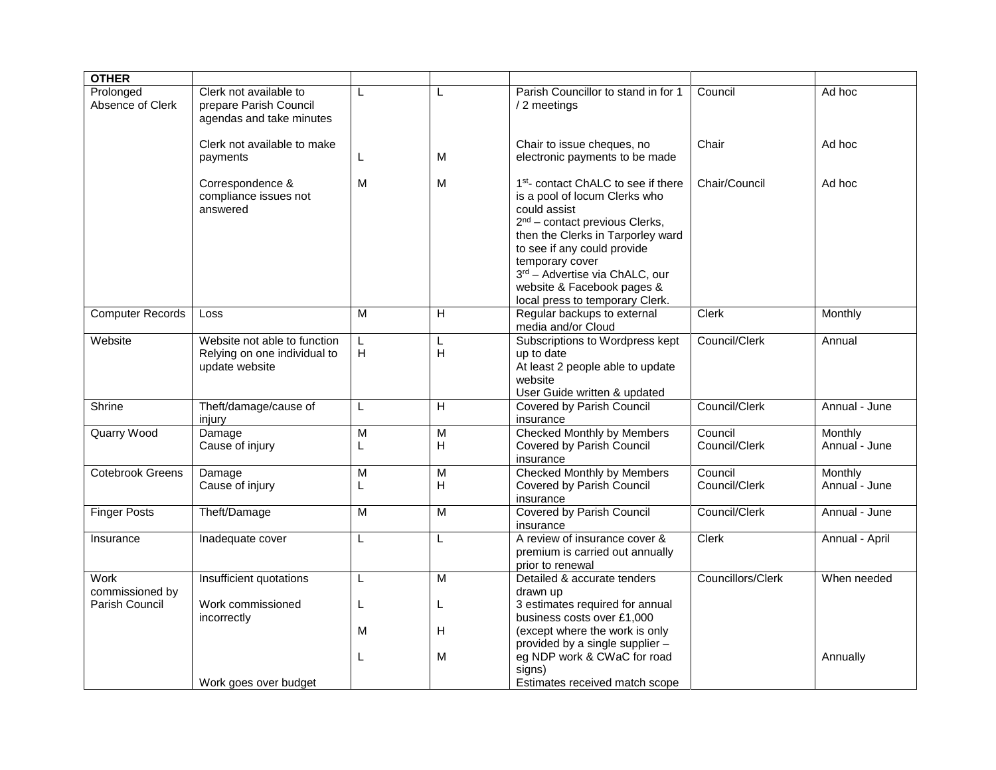| <b>OTHER</b>                  |                                                                                |        |                     |                                                                                                                                                                                                                                                                                                                                |                          |                          |
|-------------------------------|--------------------------------------------------------------------------------|--------|---------------------|--------------------------------------------------------------------------------------------------------------------------------------------------------------------------------------------------------------------------------------------------------------------------------------------------------------------------------|--------------------------|--------------------------|
| Prolonged<br>Absence of Clerk | Clerk not available to<br>prepare Parish Council<br>agendas and take minutes   |        | L                   | Parish Councillor to stand in for 1<br>/ 2 meetings                                                                                                                                                                                                                                                                            | Council                  | Ad hoc                   |
|                               | Clerk not available to make<br>payments                                        | L.     | M                   | Chair to issue cheques, no<br>electronic payments to be made                                                                                                                                                                                                                                                                   | Chair                    | Ad hoc                   |
|                               | Correspondence &<br>compliance issues not<br>answered                          | M      | M                   | 1 <sup>st</sup> - contact ChALC to see if there<br>is a pool of locum Clerks who<br>could assist<br>$2nd$ – contact previous Clerks,<br>then the Clerks in Tarporley ward<br>to see if any could provide<br>temporary cover<br>3rd - Advertise via ChALC, our<br>website & Facebook pages &<br>local press to temporary Clerk. | Chair/Council            | Ad hoc                   |
| <b>Computer Records</b>       | Loss                                                                           | M      | H                   | Regular backups to external<br>media and/or Cloud                                                                                                                                                                                                                                                                              | <b>Clerk</b>             | Monthly                  |
| Website                       | Website not able to function<br>Relying on one individual to<br>update website | L<br>н | L<br>Н              | Subscriptions to Wordpress kept<br>up to date<br>At least 2 people able to update<br>website<br>User Guide written & updated                                                                                                                                                                                                   | Council/Clerk            | Annual                   |
| Shrine                        | Theft/damage/cause of<br>injury                                                | L      | H                   | Covered by Parish Council<br>insurance                                                                                                                                                                                                                                                                                         | Council/Clerk            | Annual - June            |
| <b>Quarry Wood</b>            | Damage<br>Cause of injury                                                      | M      | M<br>$\mathsf{H}$   | <b>Checked Monthly by Members</b><br>Covered by Parish Council<br>insurance                                                                                                                                                                                                                                                    | Council<br>Council/Clerk | Monthly<br>Annual - June |
| <b>Cotebrook Greens</b>       | Damage<br>Cause of injury                                                      | M<br>L | $\overline{M}$<br>Н | <b>Checked Monthly by Members</b><br>Covered by Parish Council<br>insurance                                                                                                                                                                                                                                                    | Council<br>Council/Clerk | Monthly<br>Annual - June |
| <b>Finger Posts</b>           | Theft/Damage                                                                   | M      | $\overline{M}$      | Covered by Parish Council<br>insurance                                                                                                                                                                                                                                                                                         | Council/Clerk            | Annual - June            |
| Insurance                     | Inadequate cover                                                               | L      | L                   | A review of insurance cover &<br>premium is carried out annually<br>prior to renewal                                                                                                                                                                                                                                           | <b>Clerk</b>             | Annual - April           |
| Work<br>commissioned by       | Insufficient quotations                                                        | L      | $\overline{M}$      | Detailed & accurate tenders<br>drawn up                                                                                                                                                                                                                                                                                        | Councillors/Clerk        | When needed              |
| Parish Council                | Work commissioned<br>incorrectly                                               | L<br>М | L<br>H              | 3 estimates required for annual<br>business costs over £1,000<br>(except where the work is only<br>provided by a single supplier -                                                                                                                                                                                             |                          |                          |
|                               | Work goes over budget                                                          |        | м                   | eg NDP work & CWaC for road<br>signs)<br>Estimates received match scope                                                                                                                                                                                                                                                        |                          | Annually                 |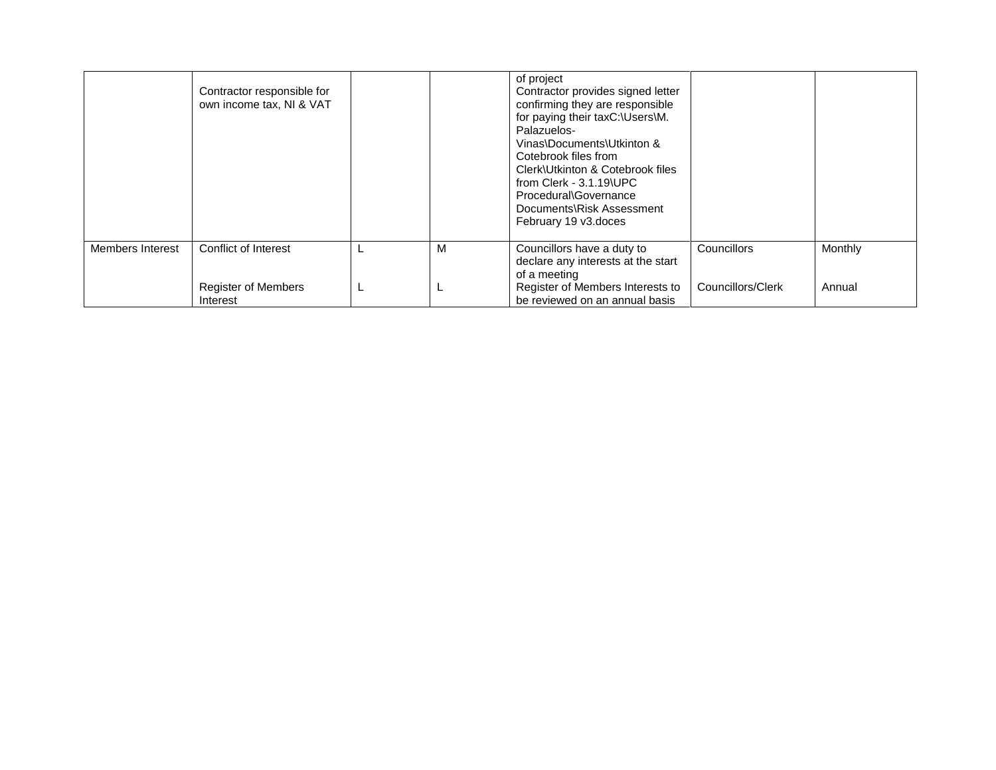|                  | Contractor responsible for<br>own income tax, NI & VAT |   | of project<br>Contractor provides signed letter<br>confirming they are responsible<br>for paying their taxC:\Users\M.<br>Palazuelos-<br>Vinas\Documents\Utkinton &<br>Cotebrook files from<br>Clerk\Utkinton & Cotebrook files<br>from Clerk - $3.1.19$ UPC<br>Procedural\Governance<br>Documents\Risk Assessment<br>February 19 v3.doces |                   |         |
|------------------|--------------------------------------------------------|---|-------------------------------------------------------------------------------------------------------------------------------------------------------------------------------------------------------------------------------------------------------------------------------------------------------------------------------------------|-------------------|---------|
| Members Interest | Conflict of Interest                                   | М | Councillors have a duty to<br>declare any interests at the start<br>of a meeting                                                                                                                                                                                                                                                          | Councillors       | Monthly |
|                  | <b>Register of Members</b><br>Interest                 |   | Register of Members Interests to<br>be reviewed on an annual basis                                                                                                                                                                                                                                                                        | Councillors/Clerk | Annual  |